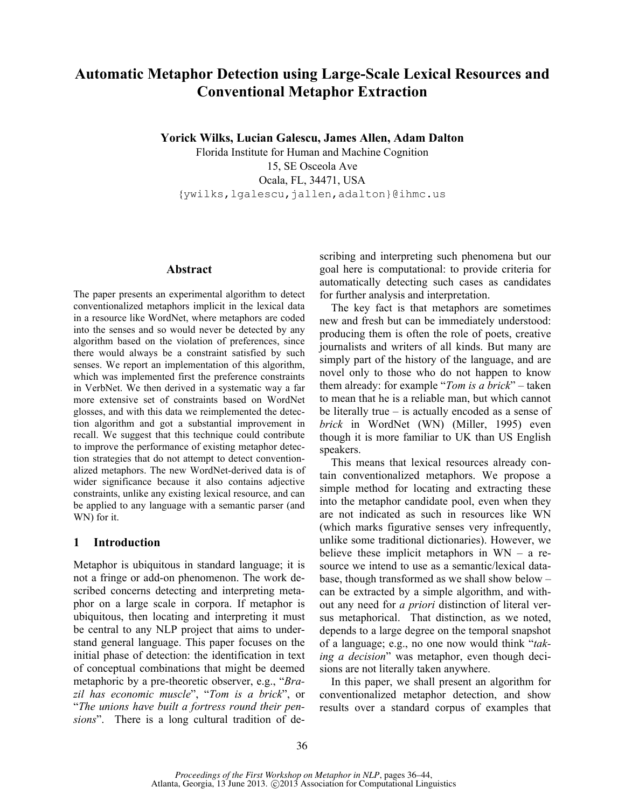# **Automatic Metaphor Detection using Large-Scale Lexical Resources and Conventional Metaphor Extraction**

**Yorick Wilks, Lucian Galescu, James Allen, Adam Dalton**

Florida Institute for Human and Machine Cognition 15, SE Osceola Ave Ocala, FL, 34471, USA {ywilks,lgalescu,jallen,adalton}@ihmc.us

#### **Abstract**

The paper presents an experimental algorithm to detect conventionalized metaphors implicit in the lexical data in a resource like WordNet, where metaphors are coded into the senses and so would never be detected by any algorithm based on the violation of preferences, since there would always be a constraint satisfied by such senses. We report an implementation of this algorithm, which was implemented first the preference constraints in VerbNet. We then derived in a systematic way a far more extensive set of constraints based on WordNet glosses, and with this data we reimplemented the detection algorithm and got a substantial improvement in recall. We suggest that this technique could contribute to improve the performance of existing metaphor detection strategies that do not attempt to detect conventionalized metaphors. The new WordNet-derived data is of wider significance because it also contains adjective constraints, unlike any existing lexical resource, and can be applied to any language with a semantic parser (and WN) for it.

#### **1 Introduction**

Metaphor is ubiquitous in standard language; it is not a fringe or add-on phenomenon. The work described concerns detecting and interpreting metaphor on a large scale in corpora. If metaphor is ubiquitous, then locating and interpreting it must be central to any NLP project that aims to understand general language. This paper focuses on the initial phase of detection: the identification in text of conceptual combinations that might be deemed metaphoric by a pre-theoretic observer, e.g., "*Brazil has economic muscle*", "*Tom is a brick*", or "*The unions have built a fortress round their pensions*". There is a long cultural tradition of describing and interpreting such phenomena but our goal here is computational: to provide criteria for automatically detecting such cases as candidates for further analysis and interpretation.

The key fact is that metaphors are sometimes new and fresh but can be immediately understood: producing them is often the role of poets, creative journalists and writers of all kinds. But many are simply part of the history of the language, and are novel only to those who do not happen to know them already: for example "*Tom is a brick*" – taken to mean that he is a reliable man, but which cannot be literally true – is actually encoded as a sense of *brick* in WordNet (WN) (Miller, 1995) even though it is more familiar to UK than US English speakers.

This means that lexical resources already contain conventionalized metaphors. We propose a simple method for locating and extracting these into the metaphor candidate pool, even when they are not indicated as such in resources like WN (which marks figurative senses very infrequently, unlike some traditional dictionaries). However, we believe these implicit metaphors in WN – a resource we intend to use as a semantic/lexical database, though transformed as we shall show below – can be extracted by a simple algorithm, and without any need for *a priori* distinction of literal versus metaphorical. That distinction, as we noted, depends to a large degree on the temporal snapshot of a language; e.g., no one now would think "*taking a decision*" was metaphor, even though decisions are not literally taken anywhere.

In this paper, we shall present an algorithm for conventionalized metaphor detection, and show results over a standard corpus of examples that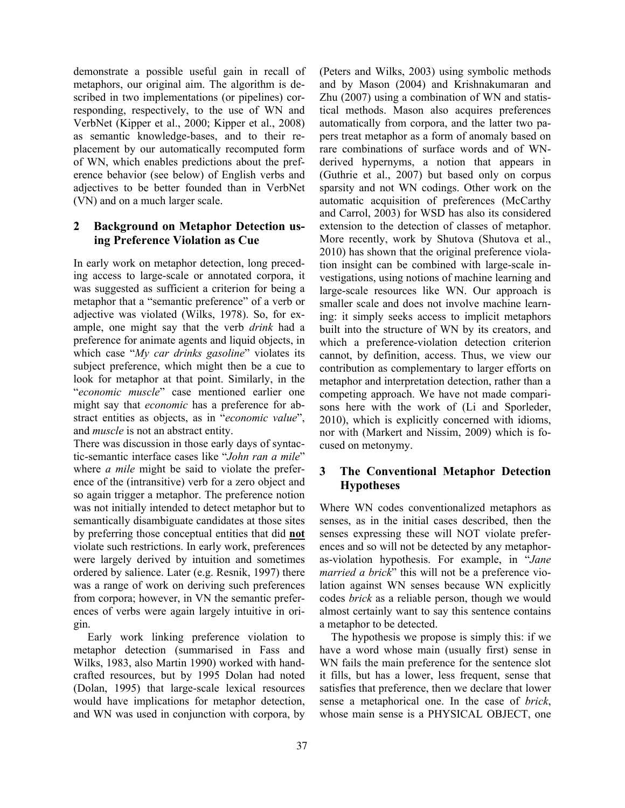demonstrate a possible useful gain in recall of metaphors, our original aim. The algorithm is described in two implementations (or pipelines) corresponding, respectively, to the use of WN and VerbNet (Kipper et al., 2000; Kipper et al., 2008) as semantic knowledge-bases, and to their replacement by our automatically recomputed form of WN, which enables predictions about the preference behavior (see below) of English verbs and adjectives to be better founded than in VerbNet (VN) and on a much larger scale.

## **2 Background on Metaphor Detection using Preference Violation as Cue**

In early work on metaphor detection, long preceding access to large-scale or annotated corpora, it was suggested as sufficient a criterion for being a metaphor that a "semantic preference" of a verb or adjective was violated (Wilks, 1978). So, for example, one might say that the verb *drink* had a preference for animate agents and liquid objects, in which case "*My car drinks gasoline*" violates its subject preference, which might then be a cue to look for metaphor at that point. Similarly, in the "*economic muscle*" case mentioned earlier one might say that *economic* has a preference for abstract entities as objects, as in "*economic value*", and *muscle* is not an abstract entity.

There was discussion in those early days of syntactic-semantic interface cases like "*John ran a mile*" where *a mile* might be said to violate the preference of the (intransitive) verb for a zero object and so again trigger a metaphor. The preference notion was not initially intended to detect metaphor but to semantically disambiguate candidates at those sites by preferring those conceptual entities that did **not** violate such restrictions. In early work, preferences were largely derived by intuition and sometimes ordered by salience. Later (e.g. Resnik, 1997) there was a range of work on deriving such preferences from corpora; however, in VN the semantic preferences of verbs were again largely intuitive in origin.

 Early work linking preference violation to metaphor detection (summarised in Fass and Wilks, 1983, also Martin 1990) worked with handcrafted resources, but by 1995 Dolan had noted (Dolan, 1995) that large-scale lexical resources would have implications for metaphor detection, and WN was used in conjunction with corpora, by (Peters and Wilks, 2003) using symbolic methods and by Mason (2004) and Krishnakumaran and Zhu (2007) using a combination of WN and statistical methods. Mason also acquires preferences automatically from corpora, and the latter two papers treat metaphor as a form of anomaly based on rare combinations of surface words and of WNderived hypernyms, a notion that appears in (Guthrie et al., 2007) but based only on corpus sparsity and not WN codings. Other work on the automatic acquisition of preferences (McCarthy and Carrol, 2003) for WSD has also its considered extension to the detection of classes of metaphor. More recently, work by Shutova (Shutova et al., 2010) has shown that the original preference violation insight can be combined with large-scale investigations, using notions of machine learning and large-scale resources like WN. Our approach is smaller scale and does not involve machine learning: it simply seeks access to implicit metaphors built into the structure of WN by its creators, and which a preference-violation detection criterion cannot, by definition, access. Thus, we view our contribution as complementary to larger efforts on metaphor and interpretation detection, rather than a competing approach. We have not made comparisons here with the work of (Li and Sporleder, 2010), which is explicitly concerned with idioms, nor with (Markert and Nissim, 2009) which is focused on metonymy.

# **3 The Conventional Metaphor Detection Hypotheses**

Where WN codes conventionalized metaphors as senses, as in the initial cases described, then the senses expressing these will NOT violate preferences and so will not be detected by any metaphoras-violation hypothesis. For example, in "*Jane married a brick*" this will not be a preference violation against WN senses because WN explicitly codes *brick* as a reliable person, though we would almost certainly want to say this sentence contains a metaphor to be detected.

The hypothesis we propose is simply this: if we have a word whose main (usually first) sense in WN fails the main preference for the sentence slot it fills, but has a lower, less frequent, sense that satisfies that preference, then we declare that lower sense a metaphorical one. In the case of *brick*, whose main sense is a PHYSICAL OBJECT, one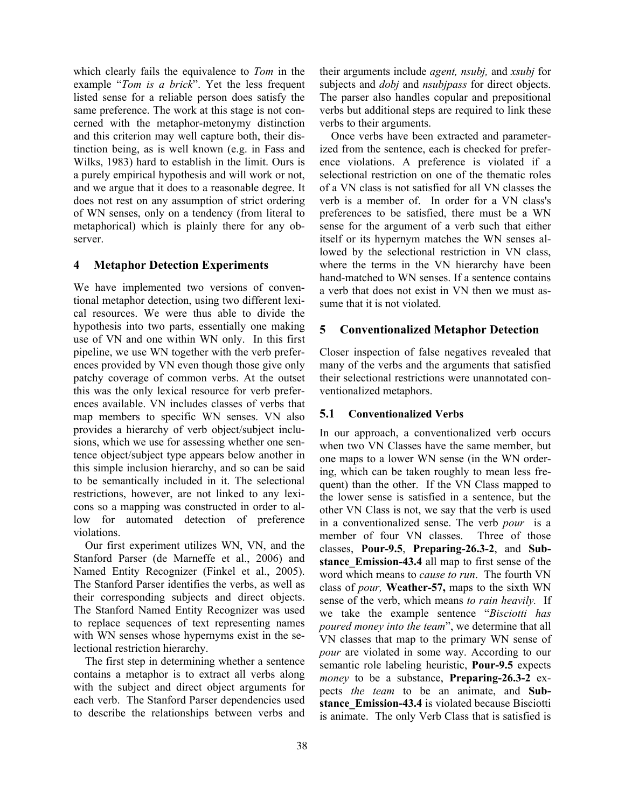which clearly fails the equivalence to *Tom* in the example "*Tom is a brick*". Yet the less frequent listed sense for a reliable person does satisfy the same preference. The work at this stage is not concerned with the metaphor-metonymy distinction and this criterion may well capture both, their distinction being, as is well known (e.g. in Fass and Wilks, 1983) hard to establish in the limit. Ours is a purely empirical hypothesis and will work or not, and we argue that it does to a reasonable degree. It does not rest on any assumption of strict ordering of WN senses, only on a tendency (from literal to metaphorical) which is plainly there for any observer.

#### **4 Metaphor Detection Experiments**

We have implemented two versions of conventional metaphor detection, using two different lexical resources. We were thus able to divide the hypothesis into two parts, essentially one making use of VN and one within WN only. In this first pipeline, we use WN together with the verb preferences provided by VN even though those give only patchy coverage of common verbs. At the outset this was the only lexical resource for verb preferences available. VN includes classes of verbs that map members to specific WN senses. VN also provides a hierarchy of verb object/subject inclusions, which we use for assessing whether one sentence object/subject type appears below another in this simple inclusion hierarchy, and so can be said to be semantically included in it. The selectional restrictions, however, are not linked to any lexicons so a mapping was constructed in order to allow for automated detection of preference violations.

Our first experiment utilizes WN, VN, and the Stanford Parser (de Marneffe et al., 2006) and Named Entity Recognizer (Finkel et al., 2005). The Stanford Parser identifies the verbs, as well as their corresponding subjects and direct objects. The Stanford Named Entity Recognizer was used to replace sequences of text representing names with WN senses whose hypernyms exist in the selectional restriction hierarchy.

The first step in determining whether a sentence contains a metaphor is to extract all verbs along with the subject and direct object arguments for each verb. The Stanford Parser dependencies used to describe the relationships between verbs and their arguments include *agent, nsubj,* and *xsubj* for subjects and *dobj* and *nsubjpass* for direct objects. The parser also handles copular and prepositional verbs but additional steps are required to link these verbs to their arguments.

Once verbs have been extracted and parameterized from the sentence, each is checked for preference violations. A preference is violated if a selectional restriction on one of the thematic roles of a VN class is not satisfied for all VN classes the verb is a member of. In order for a VN class's preferences to be satisfied, there must be a WN sense for the argument of a verb such that either itself or its hypernym matches the WN senses allowed by the selectional restriction in VN class, where the terms in the VN hierarchy have been hand-matched to WN senses. If a sentence contains a verb that does not exist in VN then we must assume that it is not violated.

#### **5 Conventionalized Metaphor Detection**

Closer inspection of false negatives revealed that many of the verbs and the arguments that satisfied their selectional restrictions were unannotated conventionalized metaphors.

#### **5.1 Conventionalized Verbs**

In our approach, a conventionalized verb occurs when two VN Classes have the same member, but one maps to a lower WN sense (in the WN ordering, which can be taken roughly to mean less frequent) than the other. If the VN Class mapped to the lower sense is satisfied in a sentence, but the other VN Class is not, we say that the verb is used in a conventionalized sense. The verb *pour* is a member of four VN classes. Three of those classes, **Pour-9.5**, **Preparing-26.3-2**, and **Substance** Emission-43.4 all map to first sense of the word which means to *cause to run*. The fourth VN class of *pour,* **Weather-57,** maps to the sixth WN sense of the verb, which means *to rain heavily.* If we take the example sentence "*Bisciotti has poured money into the team*", we determine that all VN classes that map to the primary WN sense of *pour* are violated in some way. According to our semantic role labeling heuristic, **Pour-9.5** expects *money* to be a substance, **Preparing-26.3-2** expects *the team* to be an animate, and **Substance Emission-43.4** is violated because Bisciotti is animate. The only Verb Class that is satisfied is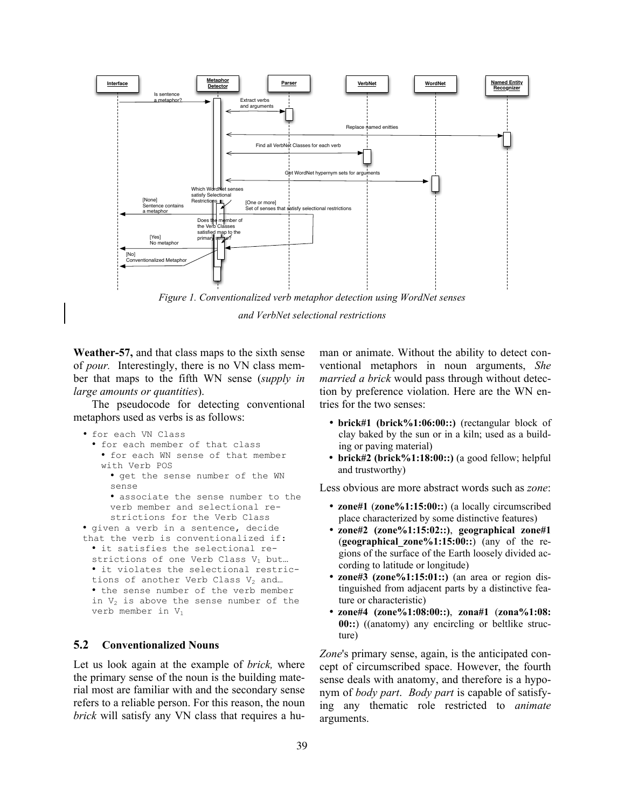

*and VerbNet selectional restrictions*

**Weather-57,** and that class maps to the sixth sense of *pour.* Interestingly, there is no VN class member that maps to the fifth WN sense (*supply in large amounts or quantities*).

The pseudocode for detecting conventional metaphors used as verbs is as follows:

```
• for each VN Class
```

```
• for each member of that class
• for each WN sense of that member 
with Verb POS
```
- get the sense number of the WN sense
- associate the sense number to the verb member and selectional restrictions for the Verb Class • given a verb in a sentence, decide

```
that the verb is conventionalized if:
• it satisfies the selectional re-
strictions of one Verb Class V_1 but...
• it violates the selectional restric-
tions of another Verb Class V_2 and...
• the sense number of the verb member 
in V_2 is above the sense number of the
verb member in V_1
```
#### **5.2 Conventionalized Nouns**

Let us look again at the example of *brick,* where the primary sense of the noun is the building material most are familiar with and the secondary sense refers to a reliable person. For this reason, the noun *brick* will satisfy any VN class that requires a human or animate. Without the ability to detect conventional metaphors in noun arguments, *She married a brick* would pass through without detection by preference violation. Here are the WN entries for the two senses:

- **brick#1 (brick%1:06:00::)** (rectangular block of clay baked by the sun or in a kiln; used as a building or paving material)
- **brick#2 (brick%1:18:00::)** (a good fellow; helpful and trustworthy)

Less obvious are more abstract words such as *zone*:

- **zone#1** (**zone%1:15:00::**) (a locally circumscribed place characterized by some distinctive features)
- **zone#2 (zone%1:15:02::)**, **geographical zone#1** (**geographical\_zone%1:15:00::**) (any of the regions of the surface of the Earth loosely divided according to latitude or longitude)
- **zone#3 (zone%1:15:01::)** (an area or region distinguished from adjacent parts by a distinctive feature or characteristic)
- **zone#4 (zone%1:08:00::)**, **zona#1** (**zona%1:08: 00::**) ((anatomy) any encircling or beltlike structure)

*Zone*'s primary sense, again, is the anticipated concept of circumscribed space. However, the fourth sense deals with anatomy, and therefore is a hyponym of *body part*. *Body part* is capable of satisfying any thematic role restricted to *animate* arguments.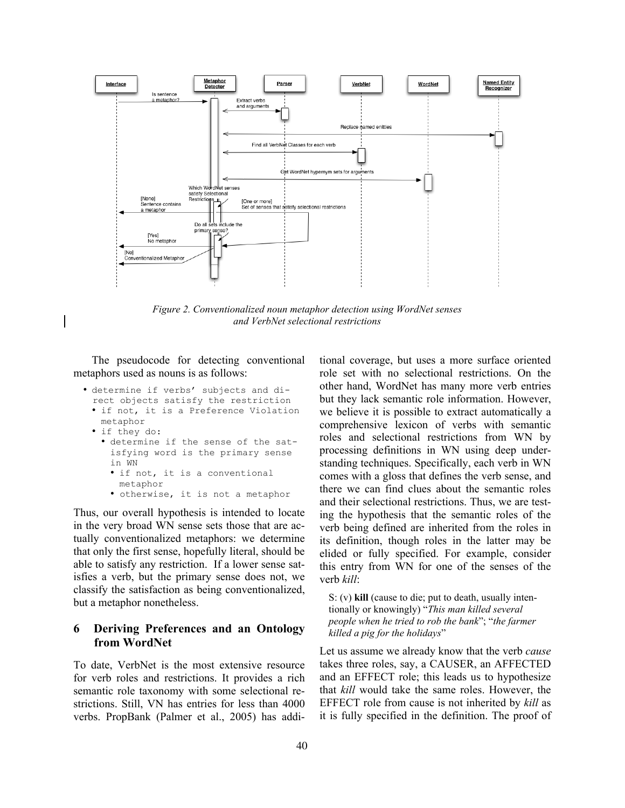

*Figure 2. Conventionalized noun metaphor detection using WordNet senses and VerbNet selectional restrictions*

The pseudocode for detecting conventional metaphors used as nouns is as follows:

- determine if verbs' subjects and direct objects satisfy the restriction
	- if not, it is a Preference Violation metaphor
	- if they do:
		- determine if the sense of the satisfying word is the primary sense in WN
			- if not, it is a conventional metaphor
			- otherwise, it is not a metaphor

Thus, our overall hypothesis is intended to locate in the very broad WN sense sets those that are actually conventionalized metaphors: we determine that only the first sense, hopefully literal, should be able to satisfy any restriction. If a lower sense satisfies a verb, but the primary sense does not, we classify the satisfaction as being conventionalized, but a metaphor nonetheless.

#### **6 Deriving Preferences and an Ontology from WordNet**

To date, VerbNet is the most extensive resource for verb roles and restrictions. It provides a rich semantic role taxonomy with some selectional restrictions. Still, VN has entries for less than 4000 verbs. PropBank (Palmer et al., 2005) has additional coverage, but uses a more surface oriented role set with no selectional restrictions. On the other hand, WordNet has many more verb entries but they lack semantic role information. However, we believe it is possible to extract automatically a comprehensive lexicon of verbs with semantic roles and selectional restrictions from WN by processing definitions in WN using deep understanding techniques. Specifically, each verb in WN comes with a gloss that defines the verb sense, and there we can find clues about the semantic roles and their selectional restrictions. Thus, we are testing the hypothesis that the semantic roles of the verb being defined are inherited from the roles in its definition, though roles in the latter may be elided or fully specified. For example, consider this entry from WN for one of the senses of the verb *kill*:

S: (v) **kill** (cause to die; put to death, usually intentionally or knowingly) "*This man killed several people when he tried to rob the bank*"; "*the farmer killed a pig for the holidays*"

Let us assume we already know that the verb *cause* takes three roles, say, a CAUSER, an AFFECTED and an EFFECT role; this leads us to hypothesize that *kill* would take the same roles. However, the EFFECT role from cause is not inherited by *kill* as it is fully specified in the definition. The proof of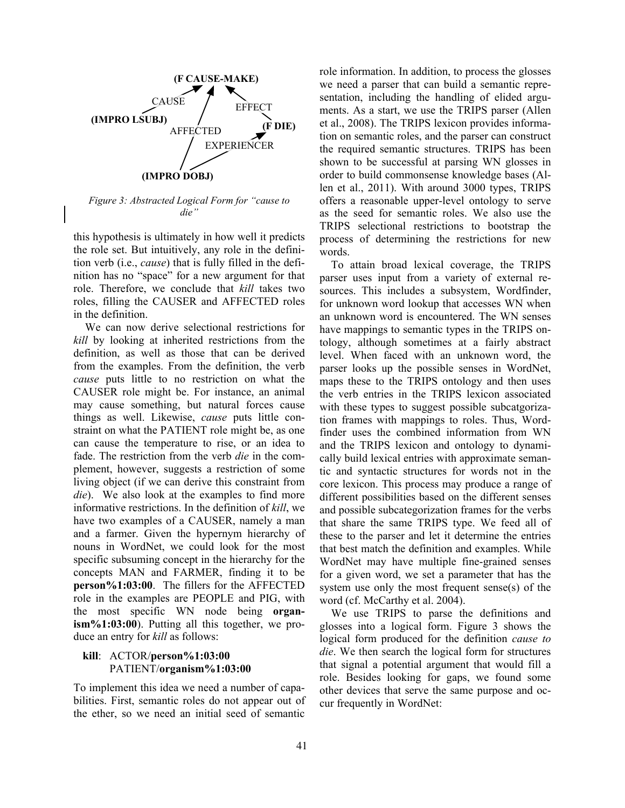

*Figure 3: Abstracted Logical Form for "cause to die"*

this hypothesis is ultimately in how well it predicts the role set. But intuitively, any role in the definition verb (i.e., *cause*) that is fully filled in the definition has no "space" for a new argument for that role. Therefore, we conclude that *kill* takes two roles, filling the CAUSER and AFFECTED roles in the definition.

We can now derive selectional restrictions for *kill* by looking at inherited restrictions from the definition, as well as those that can be derived from the examples. From the definition, the verb *cause* puts little to no restriction on what the CAUSER role might be. For instance, an animal may cause something, but natural forces cause things as well. Likewise, *cause* puts little constraint on what the PATIENT role might be, as one can cause the temperature to rise, or an idea to fade. The restriction from the verb *die* in the complement, however, suggests a restriction of some living object (if we can derive this constraint from *die*). We also look at the examples to find more informative restrictions. In the definition of *kill*, we have two examples of a CAUSER, namely a man and a farmer. Given the hypernym hierarchy of nouns in WordNet, we could look for the most specific subsuming concept in the hierarchy for the concepts MAN and FARMER, finding it to be **person%1:03:00**. The fillers for the AFFECTED role in the examples are PEOPLE and PIG, with the most specific WN node being **organism%1:03:00**). Putting all this together, we produce an entry for *kill* as follows:

#### **kill**: ACTOR/**person%1:03:00** PATIENT/**organism%1:03:00**

To implement this idea we need a number of capabilities. First, semantic roles do not appear out of the ether, so we need an initial seed of semantic

role information. In addition, to process the glosses we need a parser that can build a semantic representation, including the handling of elided arguments. As a start, we use the TRIPS parser (Allen et al., 2008). The TRIPS lexicon provides information on semantic roles, and the parser can construct the required semantic structures. TRIPS has been shown to be successful at parsing WN glosses in order to build commonsense knowledge bases (Allen et al., 2011). With around 3000 types, TRIPS offers a reasonable upper-level ontology to serve as the seed for semantic roles. We also use the TRIPS selectional restrictions to bootstrap the process of determining the restrictions for new words.

To attain broad lexical coverage, the TRIPS parser uses input from a variety of external resources. This includes a subsystem, Wordfinder, for unknown word lookup that accesses WN when an unknown word is encountered. The WN senses have mappings to semantic types in the TRIPS ontology, although sometimes at a fairly abstract level. When faced with an unknown word, the parser looks up the possible senses in WordNet, maps these to the TRIPS ontology and then uses the verb entries in the TRIPS lexicon associated with these types to suggest possible subcatgorization frames with mappings to roles. Thus, Wordfinder uses the combined information from WN and the TRIPS lexicon and ontology to dynamically build lexical entries with approximate semantic and syntactic structures for words not in the core lexicon. This process may produce a range of different possibilities based on the different senses and possible subcategorization frames for the verbs that share the same TRIPS type. We feed all of these to the parser and let it determine the entries that best match the definition and examples. While WordNet may have multiple fine-grained senses for a given word, we set a parameter that has the system use only the most frequent sense(s) of the word (cf. McCarthy et al. 2004).

We use TRIPS to parse the definitions and glosses into a logical form. Figure 3 shows the logical form produced for the definition *cause to die*. We then search the logical form for structures that signal a potential argument that would fill a role. Besides looking for gaps, we found some other devices that serve the same purpose and occur frequently in WordNet: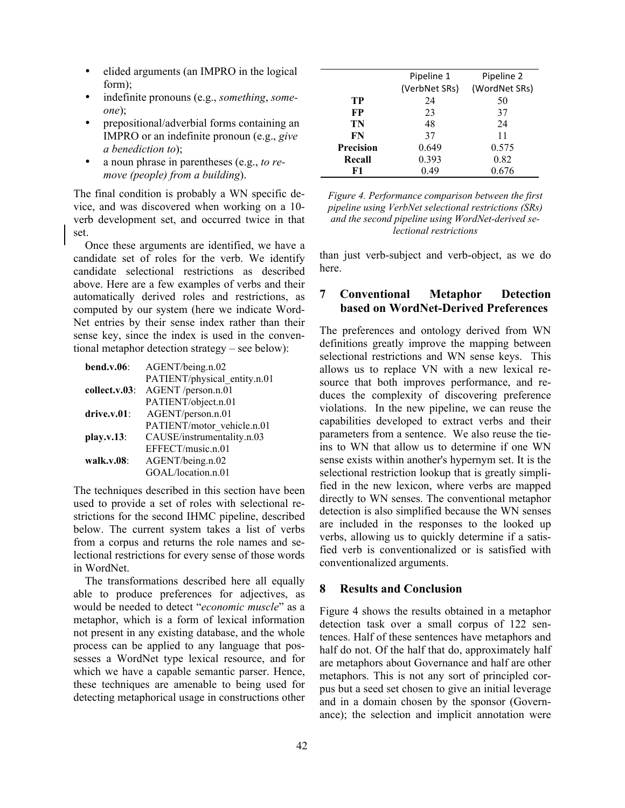- elided arguments (an IMPRO in the logical form);
- indefinite pronouns (e.g., *something*, *someone*);
- prepositional/adverbial forms containing an IMPRO or an indefinite pronoun (e.g., *give a benediction to*);
- a noun phrase in parentheses (e.g., *to remove (people) from a building*).

The final condition is probably a WN specific device, and was discovered when working on a 10 verb development set, and occurred twice in that set.

Once these arguments are identified, we have a candidate set of roles for the verb. We identify candidate selectional restrictions as described above. Here are a few examples of verbs and their automatically derived roles and restrictions, as computed by our system (here we indicate Word-Net entries by their sense index rather than their sense key, since the index is used in the conventional metaphor detection strategy – see below):

| bend.v.06      | AGENT/being.n.02             |  |
|----------------|------------------------------|--|
|                | PATIENT/physical_entity.n.01 |  |
| collect.v.03:  | AGENT /person.n.01           |  |
|                | PATIENT/object.n.01          |  |
| $drive.v.01$ : | AGENT/person.n.01            |  |
|                | PATIENT/motor vehicle.n.01   |  |
| play.v.13      | CAUSE/instrumentality.n.03   |  |
|                | EFFECT/music.n.01            |  |
| walk.v. $08$ : | AGENT/being.n.02             |  |
|                | GOAL/location.n.01           |  |

The techniques described in this section have been used to provide a set of roles with selectional restrictions for the second IHMC pipeline, described below. The current system takes a list of verbs from a corpus and returns the role names and selectional restrictions for every sense of those words in WordNet.

The transformations described here all equally able to produce preferences for adjectives, as would be needed to detect "*economic muscle*" as a metaphor, which is a form of lexical information not present in any existing database, and the whole process can be applied to any language that possesses a WordNet type lexical resource, and for which we have a capable semantic parser. Hence, these techniques are amenable to being used for detecting metaphorical usage in constructions other

|                  | Pipeline 1    | Pipeline 2    |
|------------------|---------------|---------------|
|                  | (VerbNet SRs) | (WordNet SRs) |
| TР               | 24            | 50            |
| FP               | 23            | 37            |
| TN               | 48            | 24            |
| FN               | 37            | 11            |
| <b>Precision</b> | 0.649         | 0.575         |
| Recall           | 0.393         | 0.82          |
| F1               | 0.49          | 0.676         |

*Figure 4. Performance comparison between the first pipeline using VerbNet selectional restrictions (SRs) and the second pipeline using WordNet-derived selectional restrictions*

than just verb-subject and verb-object, as we do here.

## **7 Conventional Metaphor Detection based on WordNet-Derived Preferences**

The preferences and ontology derived from WN definitions greatly improve the mapping between selectional restrictions and WN sense keys. This allows us to replace VN with a new lexical resource that both improves performance, and reduces the complexity of discovering preference violations. In the new pipeline, we can reuse the capabilities developed to extract verbs and their parameters from a sentence. We also reuse the tieins to WN that allow us to determine if one WN sense exists within another's hypernym set. It is the selectional restriction lookup that is greatly simplified in the new lexicon, where verbs are mapped directly to WN senses. The conventional metaphor detection is also simplified because the WN senses are included in the responses to the looked up verbs, allowing us to quickly determine if a satisfied verb is conventionalized or is satisfied with conventionalized arguments.

# **8 Results and Conclusion**

Figure 4 shows the results obtained in a metaphor detection task over a small corpus of 122 sentences. Half of these sentences have metaphors and half do not. Of the half that do, approximately half are metaphors about Governance and half are other metaphors. This is not any sort of principled corpus but a seed set chosen to give an initial leverage and in a domain chosen by the sponsor (Governance); the selection and implicit annotation were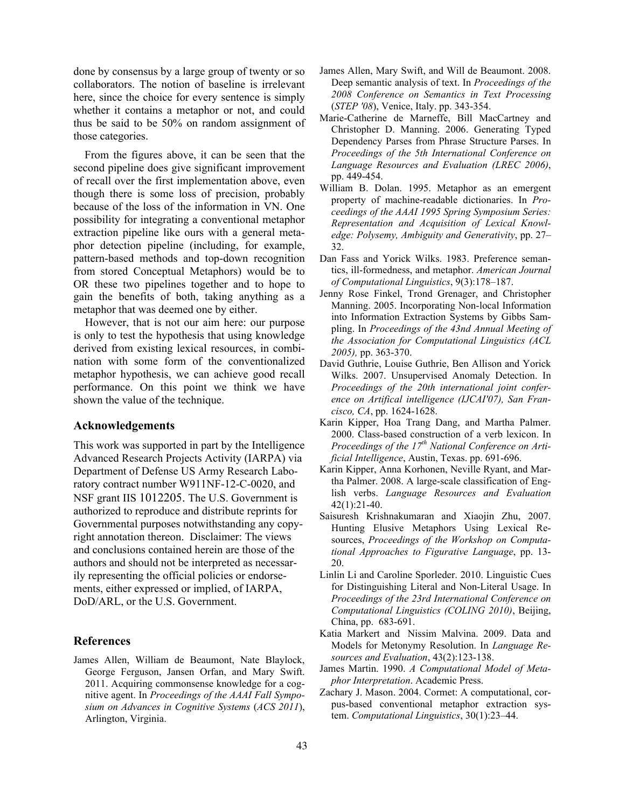done by consensus by a large group of twenty or so collaborators. The notion of baseline is irrelevant here, since the choice for every sentence is simply whether it contains a metaphor or not, and could thus be said to be 50% on random assignment of those categories.

 From the figures above, it can be seen that the second pipeline does give significant improvement of recall over the first implementation above, even though there is some loss of precision, probably because of the loss of the information in VN. One possibility for integrating a conventional metaphor extraction pipeline like ours with a general metaphor detection pipeline (including, for example, pattern-based methods and top-down recognition from stored Conceptual Metaphors) would be to OR these two pipelines together and to hope to gain the benefits of both, taking anything as a metaphor that was deemed one by either.

However, that is not our aim here: our purpose is only to test the hypothesis that using knowledge derived from existing lexical resources, in combination with some form of the conventionalized metaphor hypothesis, we can achieve good recall performance. On this point we think we have shown the value of the technique.

#### **Acknowledgements**

This work was supported in part by the Intelligence Advanced Research Projects Activity (IARPA) via Department of Defense US Army Research Laboratory contract number W911NF-12-C-0020, and NSF grant IIS 1012205. The U.S. Government is authorized to reproduce and distribute reprints for Governmental purposes notwithstanding any copyright annotation thereon. Disclaimer: The views and conclusions contained herein are those of the authors and should not be interpreted as necessarily representing the official policies or endorsements, either expressed or implied, of IARPA, DoD/ARL, or the U.S. Government.

#### **References**

James Allen, William de Beaumont, Nate Blaylock, George Ferguson, Jansen Orfan, and Mary Swift. 2011. Acquiring commonsense knowledge for a cognitive agent. In *Proceedings of the AAAI Fall Symposium on Advances in Cognitive Systems* (*ACS 2011*), Arlington, Virginia.

- James Allen, Mary Swift, and Will de Beaumont. 2008. Deep semantic analysis of text. In *Proceedings of the 2008 Conference on Semantics in Text Processing* (*STEP '08*), Venice, Italy. pp. 343-354.
- Marie-Catherine de Marneffe, Bill MacCartney and Christopher D. Manning. 2006. Generating Typed Dependency Parses from Phrase Structure Parses. In *Proceedings of the 5th International Conference on Language Resources and Evaluation (LREC 2006)*, pp. 449-454.
- William B. Dolan. 1995. Metaphor as an emergent property of machine-readable dictionaries. In *Proceedings of the AAAI 1995 Spring Symposium Series: Representation and Acquisition of Lexical Knowledge: Polysemy, Ambiguity and Generativity*, pp. 27– 32.
- Dan Fass and Yorick Wilks. 1983. Preference semantics, ill-formedness, and metaphor. *American Journal of Computational Linguistics*, 9(3):178–187.
- Jenny Rose Finkel, Trond Grenager, and Christopher Manning. 2005. Incorporating Non-local Information into Information Extraction Systems by Gibbs Sampling. In *Proceedings of the 43nd Annual Meeting of the Association for Computational Linguistics (ACL 2005),* pp. 363-370.
- David Guthrie, Louise Guthrie, Ben Allison and Yorick Wilks. 2007. Unsupervised Anomaly Detection. In *Proceedings of the 20th international joint conference on Artifical intelligence (IJCAI'07), San Francisco, CA*, pp. 1624-1628.
- Karin Kipper, Hoa Trang Dang, and Martha Palmer. 2000. Class-based construction of a verb lexicon. In *Proceedings of the 17th National Conference on Artificial Intelligence*, Austin, Texas. pp. 691-696.
- Karin Kipper, Anna Korhonen, Neville Ryant, and Martha Palmer. 2008. A large-scale classification of English verbs. *Language Resources and Evaluation* 42(1):21-40.
- Saisuresh Krishnakumaran and Xiaojin Zhu, 2007. Hunting Elusive Metaphors Using Lexical Resources, *Proceedings of the Workshop on Computational Approaches to Figurative Language*, pp. 13- 20.
- Linlin Li and Caroline Sporleder. 2010. Linguistic Cues for Distinguishing Literal and Non-Literal Usage. In *Proceedings of the 23rd International Conference on Computational Linguistics (COLING 2010)*, Beijing, China, pp. 683-691.
- Katia Markert and Nissim Malvina. 2009. Data and Models for Metonymy Resolution. In *Language Resources and Evaluation*, 43(2):123-138.
- James Martin. 1990. *A Computational Model of Metaphor Interpretation*. Academic Press.
- Zachary J. Mason. 2004. Cormet: A computational, corpus-based conventional metaphor extraction system. *Computational Linguistics*, 30(1):23–44.